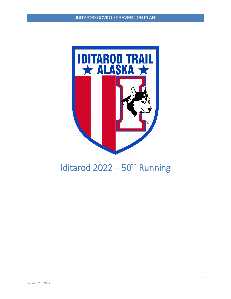

# Iditarod  $2022 - 50$ <sup>th</sup> Running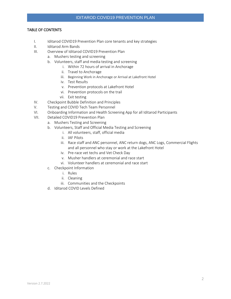## TABLE OF CONTENTS

- I. Iditarod COVID19 Prevention Plan core tenants and key strategies
- II. Iditarod Arm Bands
- III. Overview of Iditarod COVID19 Prevention Plan
	- a. Mushers testing and screening
	- b. Volunteers, staff and media testing and screening
		- i. Within 72 hours of arrival in Anchorage
		- ii. Travel to Anchorage
		- iii. Beginning Work in Anchorage or Arrival at Lakefront Hotel
		- iv. Test Results
		- v. Prevention protocols at Lakefront Hotel
		- vi. Prevention protocols on the trail
		- vii. Exit testing
- IV. Checkpoint Bubble Definition and Principles
- V. Testing and COVID Tech Team Personnel
- VI. Onboarding Information and Health Screening App for all Iditarod Participants
- VII. Detailed COVID19 Prevention Plan
	- a. Mushers Testing and Screening
	- b. Volunteers, Staff and Official Media Testing and Screening
		- i. All volunteers, staff, official media
		- ii. IAF Pilots
		- iii. Race staff and ANC personnel, ANC return dogs, ANC Logs, Commercial Flights and all personnel who stay or work at the Lakefront Hotel
		- iv. Pre-race vet techs and Vet Check Day
		- v. Musher handlers at ceremonial and race start
		- vi. Volunteer handlers at ceremonial and race start
	- c. Checkpoint Information
		- i. Rules
			- ii. Cleaning
			- iii. Communities and the Checkpoints
	- d. Iditarod COVID Levels Defined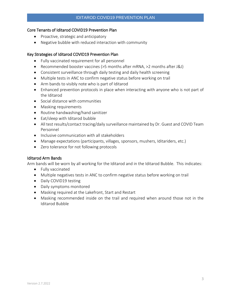## Core Tenants of Iditarod COVID19 Prevention Plan

- Proactive, strategic and anticipatory
- Negative bubble with reduced interaction with community

## Key Strategies of Iditarod COVID19 Prevention Plan

- Fully vaccinated requirement for all personnel
- Recommended booster vaccines (>5 months after mRNA, >2 months after J&J)
- Consistent surveillance through daily testing and daily health screening
- Multiple tests in ANC to confirm negative status before working on trail
- Arm bands to visibly note who is part of Iditarod
- Enhanced prevention protocols in place when interacting with anyone who is not part of the Iditarod
- Social distance with communities
- Masking requirements
- Routine handwashing/hand sanitizer
- Eat/sleep with Iditarod bubble
- All test results/contact tracing/daily surveillance maintained by Dr. Guest and COVID Team Personnel
- Inclusive communication with all stakeholders
- Manage expectations (participants, villages, sponsors, mushers, Iditariders, etc.)
- Zero tolerance for not following protocols

## Iditarod Arm Bands

Arm bands will be worn by all working for the Iditarod and in the Iditarod Bubble. This indicates:

- Fully vaccinated
- Multiple negatives tests in ANC to confirm negative status before working on trail
- Daily COVID19 testing
- Daily symptoms monitored
- Masking required at the Lakefront, Start and Restart
- Masking recommended inside on the trail and required when around those not in the Iditarod Bubble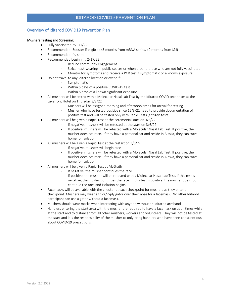#### Overview of Iditarod COVID19 Prevention Plan

#### Mushers Testing and Screening.

- Fully vaccinated by  $1/1/22$
- Recommended: Booster if eligible (>5 months from mRNA series, >2 months from J&J)
- Recommended: flu shot
- Recommended beginning 2/17/22:
	- Reduce community engagement
	- Strict mask-wearing in public spaces or when around those who are not fully vaccinated
	- Monitor for symptoms and receive a PCR test if symptomatic or a known exposure
- Do not travel to any Iditarod location or event if:
	- Symptomatic
	- Within 5 days of a positive COVID-19 test
	- Within 5 days of a known significant exposure
- All mushers will be tested with a Molecular Nasal Lab Test by the Iditarod COVID tech team at the Lakefront Hotel on Thursday 3/3/22
	- Mushers will be assigned morning and afternoon times for arrival for testing
	- Musher who have tested positive since 12/3/21 need to provide documentation of positive test and will be tested only with Rapid Tests (antigen tests)
- All mushers will be given a Rapid Test at the ceremonial start on 3/5/22
	- If negative, mushers will be retested at the start on 3/6/22
	- If positive, mushers will be retested with a Molecular Nasal Lab Test. If positive, the musher does not race. If they have a personal car and reside in Alaska, they can travel home for isolation.
- All mushers will be given a Rapid Test at the restart on 3/6/22
	- If negative, mushers will begin race
	- If positive, mushers will be retested with a Molecular Nasal Lab Test. If positive, the musher does not race. If they have a personal car and reside in Alaska, they can travel home for isolation.
- All mushers will be given a Rapid Test at McGrath
	- If negative, the musher continues the race
	- If positive, the musher will be retested with a Molecular Nasal Lab Test. If this test is negative, the musher continues the race. If this test is positive, the musher does not continue the race and isolation begins.
- Facemasks will be available with the checker at each checkpoint for mushers as they enter a checkpoint. Mushers may wear a thick/2-ply gator over their nose for a facemask. No other Iditarod participant can use a gator without a facemask.
- Mushers should wear masks when interacting with anyone without an Iditarod armband
- Handlers entering the start area with the musher are required to have a facemask on at all times while at the start and to distance from all other mushers, workers and volunteers. They will not be tested at the start and it is the responsibility of the musher to only bring handlers who have been conscientious about COVID-19 precautions.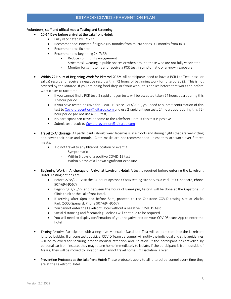#### Volunteers, staff and official media Testing and Screening.

#### 10-14 Days before arrival at the Lakefront Hotel:

- Fully vaccinated by  $1/1/22$
- Recommended: Booster if eligible (>5 months from mRNA series, >2 months from J&J)
- Recommended: flu shot
- Recommended beginning 2/17/22:
	- Reduce community engagement
	- Strict mask-wearing in public spaces or when around those who are not fully vaccinated
	- Monitor for symptoms and receive a PCR test if symptomatic or a known exposure
- Within 72 Hours of Beginning Work for Iditarod 2022: All participants need to have a PCR Lab Test (nasal or saliva) result and receive a negative result within 72 hours of beginning work for Iditarod 2022. This is not covered by the Iditarod. If you are doing food-drop or flyout work, this applies before that work and before work closer to race time.
	- If you cannot find a PCR test, 2 rapid antigen tests will be accepted taken 24 hours apart during this 72-hour period
	- If you have tested positive for COVID-19 since 12/3/2021, you need to submit confirmation of this test to [Covid-prevention@iditarod.com](mailto:Covid-prevention@iditarod.com) and use 2 rapid antigen tests 24 hours apart during this 72 hour period (do not use a PCR test).
	- No participant can travel or come to the Lakefront Hotel if this test is positive
	- Submit test result to [Covid-prevention@iditarod.com](mailto:Covid-prevention@iditarod.com)
- Travel to Anchorage: All participants should wear facemasks in airports and during flights that are well-fitting and cover their nose and mouth. Cloth masks are not recommended unless they are worn over filtered masks.
	- Do not travel to any Iditarod location or event if:
		- Symptomatic
		- Within 5 days of a positive COVID-19 test
		- Within 5 days of a known significant exposure
- Beginning Work in Anchorage or Arrival at Lakefront Hotel: A test is required before entering the Lakefront Hotel. Testing options are:
	- Before 2/28/22 Visit the 24-hour Capstone COVID testing site at Alaska Park (5000 Spenard, Phone 907-694-9567)
	- Beginning 2/28/22 and between the hours of 8am-6pm, testing will be done at the Capstone RV Clinic truck at the Lakefront Hotel.
	- If arriving after 6pm and before 8am, proceed to the Capstone COVID testing site at Alaska Park (5000 Spenard, Phone 907-694-9567)
	- You cannot enter the Lakefront Hotel without a negative COVID19 test
	- Social distancing and facemask guidelines will continue to be required
	- You will need to display confirmation of your negative test on your COVIDSecure App to enter the hotel
- **Testing Results:** Participants with a negative Molecular Nasal Lab Test will be admitted into the Lakefront Iditarod bubble. If anyone tests positive, COVID Team personnel will notify the individual and strict guidelines will be followed for securing proper medical attention and isolation. If the participant has travelled by personal car from instate, they may return home immediately to isolate. If the participant is from outside of Alaska, they will be moved to isolation and cannot travel home until isolation is over.
- Prevention Protocols at the Lakefront Hotel: These protocols apply to all Iditarod personnel every time they are at the Lakefront Hotel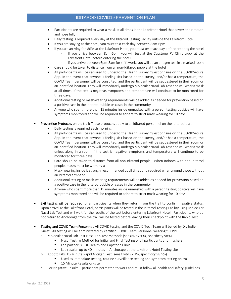- Participants are required to wear a mask at all times in the Lakefront Hotel that covers their mouth and nose fully
- Daily testing is required every day at the Iditarod Testing Facility outside the Lakefront Hotel.
- If you are staying at the hotel, you must test each day between 8am-6pm
- If you are arriving for shifts at the Lakefront Hotel, you must test each day before entering the hotel
	- If you arrive between 8am-6pm, you will test at the Capstone RV Clinic truck at the Lakefront Hotel before entering the hotel
	- If you arrive between 6pm-8am for shift work, you will do an antigen test in a marked room
- Care should be taken to distance from all non-Iditarod people at the hotel
- All participants will be required to undergo the Health Survey Questionnaire on the COVIDSecure App. In the event that anyone is feeling sick based on the survey, and/or has a temperature, the COVID Team personnel will be consulted, and the participant will be sequestered in their room or an identified location. They will immediately undergo Molecular Nasal Lab Test and will wear a mask at all times. If the test is negative, symptoms and temperature will continue to be monitored for three days.
- Additional testing or mask-wearing requirements will be added as needed for prevention based on a positive case in the Iditarod bubble or cases in the community
- Anyone who spent more than 15 minutes inside unmasked with a person testing positive will have symptoms monitored and will be required to adhere to strict mask wearing for 10 days
- Prevention Protocols on the trail: These protocols apply to all Iditarod personnel on the Iditarod trail.
	- Daily testing is required each morning
	- All participants will be required to undergo the Health Survey Questionnaire on the COVIDSecure App. In the event that anyone is feeling sick based on the survey, and/or has a temperature, the COVID Team personnel will be consulted, and the participant will be sequestered in their room or an identified location. They will immediately undergo Molecular Nasal Lab Test and will wear a mask unless along in a room. If the test is negative, symptoms and temperature will continue to be monitored for three days.
	- Care should be taken to distance from all non-Iditarod people. When indoors with non-Iditarod people, masks must be worn by all
	- Mask-wearing inside is strongly recommended at all times and required when around those without an Iditarod armband
	- Additional testing or mask-wearing requirements will be added as needed for prevention based on a positive case in the Iditarod bubble or cases in the community
	- Anyone who spent more than 15 minutes inside unmasked with a person testing positive will have symptoms monitored and will be required to adhere to strict mask wearing for 10 days
- Exit testing will be required for all participants when they return from the trail to confirm negative status. Upon arrival at the Lakefront Hotel, participants will be tested in the Iditarod Testing Facility using Molecular Nasal Lab Test and will wait for the results of the test before entering Lakefront Hotel. Participants who do not return to Anchorage from the trail will be tested before leaving their checkpoint with the Rapid Test.
- Testing and COVID Team Personnel. All COVID testing and the COVID Tech Team will be led by Dr. Jodie Guest. All testing will be administered by certified COVID Team Personnel wearing full PPE.
	- a. Molecular Nasal Lab Test Nasal Lab Test methods (sensitivity 99%, specificity 98%)
		- Nasal Testing Method for Initial and Final Testing of all participants and mushers
		- Lab partner is CUE Health and Capstone Clinic
		- Lab results, up to 40 minutes in Anchorage at the Lakefront Hotel Testing site
	- b. Abbott Labs 15-Minute Rapid Antigen Test (sensitivity 97.1%, specificity 98.5%)
		- Used as immediate testing, routine surveillance testing and symptom testing on trail 15 Minute Results on-site
	- c. For Negative Results participant permitted to work and must follow all health and safety guidelines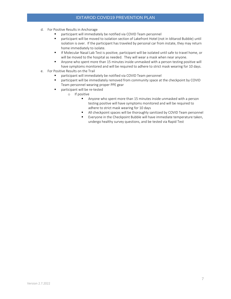- d. For Positive Results in Anchorage
	- participant will immediately be notified via COVID Team personnel
	- participant will be moved to isolation section of Lakefront Hotel (not in Iditarod Bubble) until isolation is over. If the participant has traveled by personal car from instate, they may return home immediately to isolate.
	- If Molecular Nasal Lab Test is positive, participant will be isolated until safe to travel home, or will be moved to the hospital as needed. They will wear a mask when near anyone.
	- **•** Anyone who spent more than 15 minutes inside unmasked with a person testing positive will have symptoms monitored and will be required to adhere to strict mask wearing for 10 days.
- e. For Positive Results on the Trail
	- participant will immediately be notified via COVID Team personnel
	- **•** participant will be immediately removed from community space at the checkpoint by COVID Team personnel wearing proper PPE gear
	- participant will be re-tested
		- o If positive
			- Anyone who spent more than 15 minutes inside unmasked with a person testing positive will have symptoms monitored and will be required to adhere to strict mask wearing for 10 days
			- All checkpoint spaces will be thoroughly sanitized by COVID Team personnel
			- Everyone in the Checkpoint Bubble will have immediate temperature taken, undergo healthy survey questions, and be tested via Rapid Test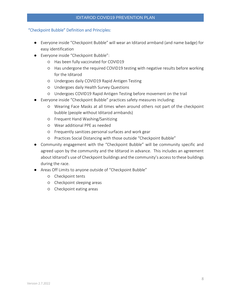## "Checkpoint Bubble" Definition and Principles:

- Everyone inside "Checkpoint Bubble" will wear an Iditarod armband (and name badge) for easy identification
- Everyone inside "Checkpoint Bubble":
	- Has been fully vaccinated for COVID19
	- Has undergone the required COVID19 testing with negative results before working for the Iditarod
	- Undergoes daily COVID19 Rapid Antigen Testing
	- Undergoes daily Health Survey Questions
	- Undergoes COVID19 Rapid Antigen Testing before movement on the trail
- Everyone inside "Checkpoint Bubble" practices safety measures including:
	- Wearing Face Masks at all times when around others not part of the checkpoint bubble (people without Iditarod armbands)
	- Frequent Hand Washing/Sanitizing
	- Wear additional PPE as needed
	- Frequently sanitizes personal surfaces and work gear
	- Practices Social Distancing with those outside "Checkpoint Bubble"
- Community engagement with the "Checkpoint Bubble" will be community specific and agreed upon by the community and the Iditarod in advance. This includes an agreement about Iditarod's use of Checkpoint buildings and the community's access to these buildings during the race.
- Areas Off Limits to anyone outside of "Checkpoint Bubble"
	- Checkpoint tents
	- Checkpoint sleeping areas
	- Checkpoint eating areas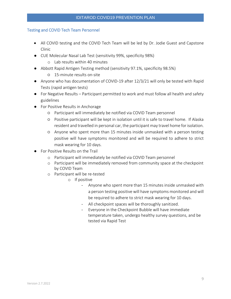## Testing and COVID Tech Team Personnel

- All COVID testing and the COVID Tech Team will be led by Dr. Jodie Guest and Capstone Clinic
- CUE Molecular Nasal Lab Test (sensitivity 99%, specificity 98%)
	- o Lab results within 40 minutes
- Abbott Rapid Antigen Testing method (sensitivity 97.1%, specificity 98.5%)
	- 15-minute results on-site
- Anyone who has documentation of COVID-19 after 12/3/21 will only be tested with Rapid Tests (rapid antigen tests)
- For Negative Results Participant permitted to work and must follow all health and safety guidelines
- For Positive Results in Anchorage
	- Participant will immediately be notified via COVID Team personnel
	- Positive participant will be kept in isolation until it is safe to travel home. If Alaska resident and travelled in personal car, the participant may travel home for isolation.
	- Anyone who spent more than 15 minutes inside unmasked with a person testing positive will have symptoms monitored and will be required to adhere to strict mask wearing for 10 days.
- For Positive Results on the Trail
	- o Participant will immediately be notified via COVID Team personnel
	- o Participant will be immediately removed from community space at the checkpoint by COVID Team
	- o Participant will be re-tested
		- o If positive
			- Anyone who spent more than 15 minutes inside unmasked with a person testing positive will have symptoms monitored and will be required to adhere to strict mask wearing for 10 days.
			- All checkpoint spaces will be thoroughly sanitized.
			- Everyone in the Checkpoint Bubble will have immediate temperature taken, undergo healthy survey questions, and be tested via Rapid Test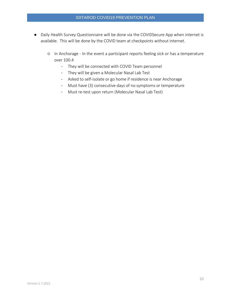- Daily Health Survey Questionnaire will be done via the COVIDSecure App when internet is available. This will be done by the COVID team at checkpoints without internet.
	- In Anchorage In the event a participant reports feeling sick or has a temperature over 100.4
		- They will be connected with COVID Team personnel
		- They will be given a Molecular Nasal Lab Test
		- Asked to self-isolate or go home if residence is near Anchorage
		- Must have (3) consecutive days of no symptoms or temperature
		- Must re-test upon return (Molecular Nasal Lab Test)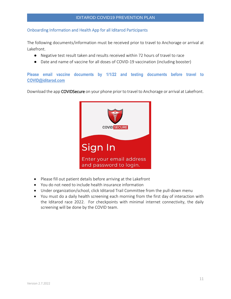## Onboarding Information and Health App for all Iditarod Participants

The following documents/information must be received prior to travel to Anchorage or arrival at Lakefront.

- Negative test result taken and results received within 72 hours of travel to race
- Date and name of vaccine for all doses of COVID-19 vaccination (including booster)

**Please email vaccine documents by 1/1/22 and testing documents before travel to [COVID@iditarod.com](mailto:COVID@iditarod.com)**

Download the app COVIDSecure on your phone prior to travel to Anchorage or arrival at Lakefront.



- Please fill out patient details before arriving at the Lakefront
- You do not need to include health insurance information
- Under organization/school, click Iditarod Trail Committee from the pull-down menu
- You must do a daily health screening each morning from the first day of interaction with the Iditarod race 2022. For checkpoints with minimal internet connectivity, the daily screening will be done by the COVID team.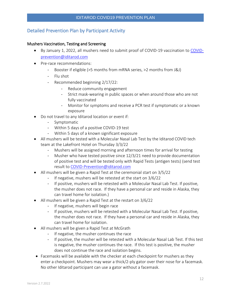# Detailed Prevention Plan by Participant Activity

## Mushers Vaccination, Testing and Screening

- By January 1, 2022, all mushers need to submit proof of COVID-19 vaccination to [COVID](mailto:COVID-prevention@iditarod.com)[prevention@iditarod.com](mailto:COVID-prevention@iditarod.com)
- Pre-race recommendations:
	- Booster if eligible (>5 months from mRNA series, >2 months from J&J)
	- Flu shot
	- Recommended beginning 2/17/22:
		- Reduce community engagement
		- Strict mask-wearing in public spaces or when around those who are not fully vaccinated
		- Monitor for symptoms and receive a PCR test if symptomatic or a known exposure
- Do not travel to any Iditarod location or event if:
	- Symptomatic
	- Within 5 days of a positive COVID-19 test
	- Within 5 days of a known significant exposure
- All mushers will be tested with a Molecular Nasal Lab Test by the Iditarod COVID tech team at the Lakefront Hotel on Thursday 3/3/22
	- Mushers will be assigned morning and afternoon times for arrival for testing
	- Musher who have tested positive since 12/3/21 need to provide documentation of positive test and will be tested only with Rapid Tests (antigen tests) (send test result to [COVID-Prevention@iditarod.com](mailto:COVID-Prevention@iditarod.com)
- All mushers will be given a Rapid Test at the ceremonial start on 3/5/22
	- If negative, mushers will be retested at the start on 3/6/22
	- If positive, mushers will be retested with a Molecular Nasal Lab Test. If positive, the musher does not race. If they have a personal car and reside in Alaska, they can travel home for isolation.)
- All mushers will be given a Rapid Test at the restart on 3/6/22
	- If negative, mushers will begin race
	- If positive, mushers will be retested with a Molecular Nasal Lab Test. If positive, the musher does not race. If they have a personal car and reside in Alaska, they can travel home for isolation.
- All mushers will be given a Rapid Test at McGrath
	- If negative, the musher continues the race
	- If positive, the musher will be retested with a Molecular Nasal Lab Test. If this test is negative, the musher continues the race. If this test is positive, the musher does not continue the race and isolation begins.
- Facemasks will be available with the checker at each checkpoint for mushers as they enter a checkpoint. Mushers may wear a thick/2-ply gator over their nose for a facemask. No other Iditarod participant can use a gator without a facemask.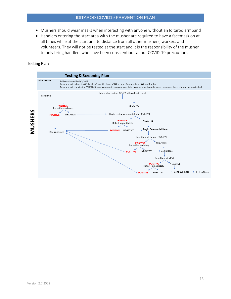- Mushers should wear masks when interacting with anyone without an Iditarod armband
- Handlers entering the start area with the musher are required to have a facemask on at all times while at the start and to distance from all other mushers, workers and volunteers. They will not be tested at the start and it is the responsibility of the musher to only bring handlers who have been conscientious about COVID-19 precautions.

## Testing Plan

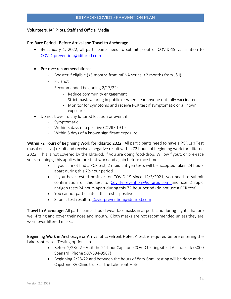## Volunteers, IAF Pilots, Staff and Official Media

## Pre-Race Period - Before Arrival and Travel to Anchorage

• By January 1, 2022, all participants need to submit proof of COVID-19 vaccination to [COVID-prevention@iditarod.com](mailto:COVID-prevention@iditarod.com)

## • Pre-race recommendations:

- Booster if eligible (>5 months from mRNA series, >2 months from J&J)
- Flu shot
- Recommended beginning 2/17/22:
	- Reduce community engagement
	- Strict mask-wearing in public or when near anyone not fully vaccinated
	- Monitor for symptoms and receive PCR test if symptomatic or a known exposure
- Do not travel to any Iditarod location or event if:
	- Symptomatic
	- Within 5 days of a positive COVID-19 test
	- Within 5 days of a known significant exposure

Within 72 Hours of Beginning Work for Iditarod 2022: All participants need to have a PCR Lab Test (nasal or saliva) result and receive a negative result within 72 hours of beginning work for Iditarod 2022. This is not covered by the Iditarod. If you are doing food-drop, Willow flyout, or pre-race vet screenings, this applies before that work and again before race time.

- If you cannot find a PCR test, 2 rapid antigen tests will be accepted taken 24 hours apart during this 72-hour period
- If you have tested positive for COVID-19 since 12/3/2021, you need to submit confirmation of this test to [Covid-prevention@iditarod.com](mailto:Covid-prevention@iditarod.com) and use 2 rapid antigen tests 24 hours apart during this 72-hour period (do not use a PCR test).
- You cannot participate if this test is positive
- Submit test result to [Covid-prevention@iditarod.com](mailto:Covid-prevention@iditarod.com)

Travel to Anchorage: All participants should wear facemasks in airports and during flights that are well-fitting and cover their nose and mouth. Cloth masks are not recommended unless they are worn over filtered masks.

Beginning Work in Anchorage or Arrival at Lakefront Hotel: A test is required before entering the Lakefront Hotel. Testing options are:

- Before 2/28/22 Visit the 24-hour Capstone COVID testing site at Alaska Park (5000) Spenard, Phone 907-694-9567)
- Beginning 2/28/22 and between the hours of 8am-6pm, testing will be done at the Capstone RV Clinic truck at the Lakefront Hotel.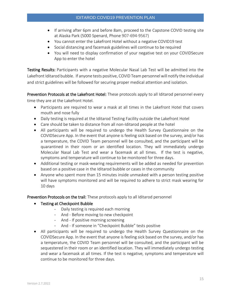- If arriving after 6pm and before 8am, proceed to the Capstone COVID testing site at Alaska Park (5000 Spenard, Phone 907-694-9567)
- You cannot enter the Lakefront Hotel without a negative COVID19 test
- Social distancing and facemask guidelines will continue to be required
- You will need to display confirmation of your negative test on your COVIDSecure App to enter the hotel

Testing Results: Participants with a negative Molecular Nasal Lab Test will be admitted into the Lakefront Iditarod bubble. If anyone tests positive, COVID Team personnel will notify the individual and strict guidelines will be followed for securing proper medical attention and isolation.

Prevention Protocols at the Lakefront Hotel: These protocols apply to all Iditarod personnel every time they are at the Lakefront Hotel.

- Participants are required to wear a mask at all times in the Lakefront Hotel that covers mouth and nose fully
- Daily testing is required at the Iditarod Testing Facility outside the Lakefront Hotel
- Care should be taken to distance from all non-Iditarod people at the hotel
- All participants will be required to undergo the Health Survey Questionnaire on the COVIDSecure App. In the event that anyone is feeling sick based on the survey, and/or has a temperature, the COVID Team personnel will be consulted, and the participant will be quarantined in their room or an identified location. They will immediately undergo Molecular Nasal Lab Test and wear a facemask at all times. If the test is negative, symptoms and temperature will continue to be monitored for three days.
- Additional testing or mask-wearing requirements will be added as needed for prevention based on a positive case in the Iditarod bubble or cases in the community
- Anyone who spent more than 15 minutes inside unmasked with a person testing positive will have symptoms monitored and will be required to adhere to strict mask wearing for 10 days

Prevention Protocols on the trail: These protocols apply to all Iditarod personnel

- Testing at Checkpoint Bubble
	- Daily testing is required each morning
	- And Before moving to new checkpoint
	- And If positive morning screening
	- And If someone in "Checkpoint Bubble" tests positive
- All participants will be required to undergo the Health Survey Questionnaire on the COVIDSecure App. In the event that anyone is feeling sick based on the survey, and/or has a temperature, the COVID Team personnel will be consulted, and the participant will be sequestered in their room or an identified location. They will immediately undergo testing and wear a facemask at all times. If the test is negative, symptoms and temperature will continue to be monitored for three days.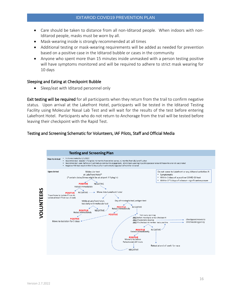- Care should be taken to distance from all non-Iditarod people. When indoors with non-Iditarod people, masks must be worn by all.
- Mask-wearing inside is strongly recommended at all times
- Additional testing or mask-wearing requirements will be added as needed for prevention based on a positive case in the Iditarod bubble or cases in the community
- Anyone who spent more than 15 minutes inside unmasked with a person testing positive will have symptoms monitored and will be required to adhere to strict mask wearing for 10 days

#### Sleeping and Eating at Checkpoint Bubble

• Sleep/eat with Iditarod personnel only

Exit testing will be required for all participants when they return from the trail to confirm negative status. Upon arrival at the Lakefront Hotel, participants will be tested in the Iditarod Testing Facility using Molecular Nasal Lab Test and will wait for the results of the test before entering Lakefront Hotel. Participants who do not return to Anchorage from the trail will be tested before leaving their checkpoint with the Rapid Test.

## Testing and Screening Schematic for Volunteers, IAF Pilots, Staff and Official Media

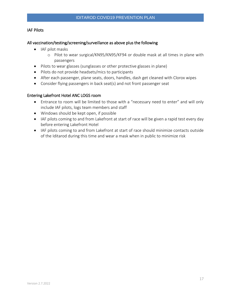## IAF Pilots

## All vaccination/testing/screening/surveillance as above plus the following

- IAF pilot masks
	- o Pilot to wear surgical/KN95/KN95/KF94 or double mask at all times in plane with passengers
- Pilots to wear glasses (sunglasses or other protective glasses in plane)
- Pilots do not provide headsets/mics to participants
- After each passenger, plane seats, doors, handles, dash get cleaned with Clorox wipes
- Consider flying passengers in back seat(s) and not front passenger seat

## Entering Lakefront Hotel ANC LOGS room

- Entrance to room will be limited to those with a "necessary need to enter" and will only include IAF pilots, logs team members and staff
- Windows should be kept open, if possible
- IAF pilots coming to and from Lakefront at start of race will be given a rapid test every day before entering Lakefront Hotel
- IAF pilots coming to and from Lakefront at start of race should minimize contacts outside of the Iditarod during this time and wear a mask when in public to minimize risk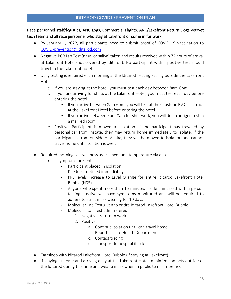Race personnel staff/logistics, ANC Logs, Commercial Flights, ANC/Lakefront Return Dogs vet/vet tech team and all race personnel who stay at Lakefront or come in for work

- By January 1, 2022, all participants need to submit proof of COVID-19 vaccination to [COVID-prevention@iditarod.com](mailto:COVID-prevention@iditarod.com)
- Negative PCR Lab Test (nasal or saliva) taken and results received within 72 hours of arrival at Lakefront Hotel (not covered by Iditarod). No participant with a positive test should travel to the Lakefront hotel.
- Daily testing is required each morning at the Iditarod Testing Facility outside the Lakefront Hotel.
	- o If you are staying at the hotel, you must test each day between 8am-6pm
	- o If you are arriving for shifts at the Lakefront Hotel, you must test each day before entering the hotel
		- If you arrive between 8am-6pm, you will test at the Capstone RV Clinic truck at the Lakefront Hotel before entering the hotel
		- If you arrive between 6pm-8am for shift work, you will do an antigen test in a marked room
	- o Positive: Participant is moved to isolation. If the participant has traveled by personal car from instate, they may return home immediately to isolate. If the participant is from outside of Alaska, they will be moved to isolation and cannot travel home until isolation is over.
- Required morning self-wellness assessment and temperature via app
	- If symptoms present:
		- Participant placed in isolation
		- Dr. Guest notified immediately
		- PPE levels increase to Level Orange for entire Iditarod Lakefront Hotel Bubble (N95)
		- Anyone who spent more than 15 minutes inside unmasked with a person testing positive will have symptoms monitored and will be required to adhere to strict mask wearing for 10 days
		- Molecular Lab Test given to entire Iditarod Lakefront Hotel Bubble
		- Molecular Lab Test administered
			- 1. Negative: return to work
			- 2. Positive
				- a. Continue isolation until can travel home
				- b. Report case to Health Department
				- c. Contact tracing
				- d. Transport to hospital if sick
- Eat/sleep with Iditarod Lakefront Hotel Bubble (if staying at Lakefront)
- If staying at home and arriving daily at the Lakefront Hotel, minimize contacts outside of the Iditarod during this time and wear a mask when in public to minimize risk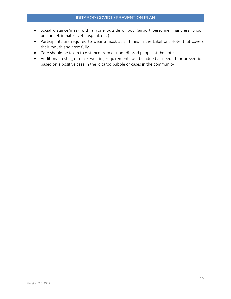- Social distance/mask with anyone outside of pod (airport personnel, handlers, prison personnel, inmates, vet hospital, etc.)
- Participants are required to wear a mask at all times in the Lakefront Hotel that covers their mouth and nose fully
- Care should be taken to distance from all non-Iditarod people at the hotel
- Additional testing or mask-wearing requirements will be added as needed for prevention based on a positive case in the Iditarod bubble or cases in the community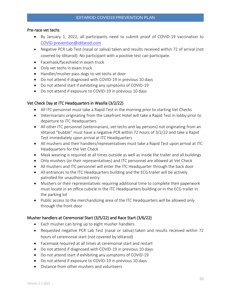#### Pre-race vet techs

- By January 1, 2022, all participants need to submit proof of COVID-19 vaccination to [COVID-prevention@iditarod.com](mailto:COVID-prevention@iditarod.com)
- Negative PCR Lab Test (nasal or saliva) taken and results received within 72 of arrival (not covered by Iditarod). No participant with a positive test can participate.
- Facemask/faceshield in exam truck
- Only vet techs in exam truck
- Handler/musher pass dogs to vet techs at door
- Do not attend if diagnosed with COVID-19 in previous 10 days
- Do not attend start if exhibiting any symptoms of COVID-19
- Do not attend if exposure to COVID-19 in previous 10 days

## Vet Check Day at ITC Headquarters in Wasilla (3/2/22)

- All ITC personnel must take a Rapid Test in the morning prior to starting Vet Checks
- Veterinarians originating from the Lakefront Hotel will take a Rapid Test in lobby prior to departure to ITC Headquarters
- All other ITC personnel (veterinarians, vet techs and lay persons) not originating from an Iditarod "bubble" must have a negative PCR within 72 hours of 3/2/22 and take a Rapid Test immediately upon arrival at ITC Headquarters
- All mushers and their handlers/representatives must take a Rapid Test upon arrival at ITC Headquarters for the Vet Check
- Mask wearing is required at all times outside as well as inside the trailer and all buildings
- Only mushers (or their representatives) and ITC personnel are allowed at Vet Check
- All mushers and ITC personnel will enter the ITC Headquarter through the back door
- All entrances to the ITC Headquarters building and the ECG trailer will be actively patrolled for unauthorized entry
- Mushers or their representatives requiring additional time to complete their paperwork must locate in an office cubicle in the ITC Headquarters building or in the ECG trailer in the parking lot
- Public access to the merchandizing area of the ITC Headquarters will be allowed only through the front door

## Musher handlers at Ceremonial Start (3/5/22) and Race Start (3/6/22)

- Each musher can bring up to eight musher handlers.
- Requested negative PCR Lab Test (nasal or saliva) taken and results received within 72 hours of ceremonial start (not covered by Iditarod)
- Facemask required at all times at ceremonial start and restart
- Do not attend if diagnosed with COVID-19 in previous 10 days
- Do not attend start if exhibiting any symptoms of COVID-19
- Do not attend if exposure to COVID-19 in previous 10 days
- Distance from other mushers and volunteers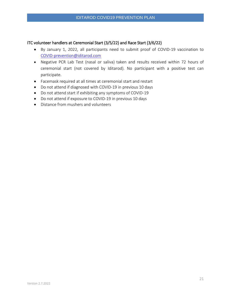## ITC volunteer handlers at Ceremonial Start (3/5/22) and Race Start (3/6/22)

- By January 1, 2022, all participants need to submit proof of COVID-19 vaccination to [COVID-prevention@iditarod.com](mailto:COVID-prevention@iditarod.com)
- Negative PCR Lab Test (nasal or saliva) taken and results received within 72 hours of ceremonial start (not covered by Iditarod). No participant with a positive test can participate.
- Facemask required at all times at ceremonial start and restart
- Do not attend if diagnosed with COVID-19 in previous 10 days
- Do not attend start if exhibiting any symptoms of COVID-19
- Do not attend if exposure to COVID-19 in previous 10 days
- Distance from mushers and volunteers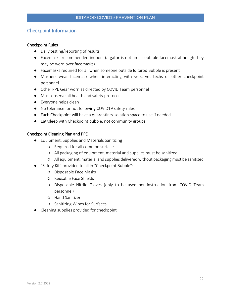# Checkpoint Information

## Checkpoint Rules

- Daily testing/reporting of results
- Facemasks recommended indoors (a gator is not an acceptable facemask although they may be worn over facemasks)
- Facemasks required for all when someone outside Iditarod Bubble is present
- Mushers wear facemask when interacting with vets, vet techs or other checkpoint personnel
- Other PPE Gear worn as directed by COVID Team personnel
- Must observe all health and safety protocols
- Everyone helps clean
- No tolerance for not following COVID19 safety rules
- Each Checkpoint will have a quarantine/isolation space to use if needed
- Eat/sleep with Checkpoint bubble, not community groups

## Checkpoint Cleaning Plan and PPE

- Equipment, Supplies and Materials Sanitizing
	- Required for all common surfaces
	- All packaging of equipment, material and supplies must be sanitized
	- All equipment, material and supplies delivered without packaging must be sanitized
- "Safety Kit" provided to all in "Checkpoint Bubble":
	- Disposable Face Masks
	- Reusable Face Shields
	- Disposable Nitrile Gloves (only to be used per instruction from COVID Team personnel)
	- Hand Sanitizer
	- Sanitizing Wipes for Surfaces
- Cleaning supplies provided for checkpoint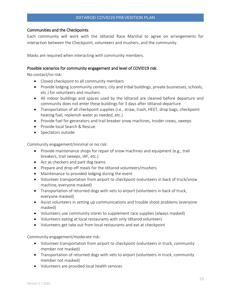## Communities and the Checkpoints

Each community will work with the Iditarod Race Marshal to agree on arrangements for interaction between the Checkpoint, volunteers and mushers, and the community.

Masks are required when interacting with community members.

## Possible scenarios for community engagement and level of COVID19 risk:

No contact/no risk:

- Closed checkpoint to all community members
- Provide lodging (community centers, city and tribal buildings, private businesses, schools, etc.) for volunteers and mushers
- All indoor buildings and spaces used by the Iditarod are cleaned before departure and community does not enter these buildings for 3 days after Iditarod departure
- Transportation of all checkpoint supplies (i.e., straw, trash, HEET, drop bags, checkpoint heating fuel, replenish water as needed, etc.)
- Provide fuel for generators and trail breaker snow machines, Insider crews, sweeps
- Provide local Search & Rescue
- Spectators outside

Community engagement/minimal or no risk:

- Provide maintenance shops for repair of snow machines and equipment (e.g., trail breakers, trail sweeps, IAF, etc.)
- Act as checkers and park dog teams
- Prepare and drop off meals for the Iditarod volunteers/mushers
- Maintenance to provided lodging during the event
- Volunteer transportation from airport to checkpoint (volunteers in back of truck/snow machine, everyone masked)
- Transportation of returned dogs with vets to airport (volunteers in back of truck, everyone masked)
- Assist volunteers in setting up communications and trouble shoot problems (everyone masked)
- Volunteers use community stores to supplement race supplies (always masked)
- Volunteers eating at local restaurants with only Iditarod volunteers
- Volunteers get take out from local restaurants and eat at checkpoint

Community engagement/moderate risk:

- Volunteer transportation from airport to checkpoint (volunteers in truck, community member not masked)
- Transportation of returned dogs with vets to airport (volunteers in truck, community member not masked)
- Volunteers are provided local health services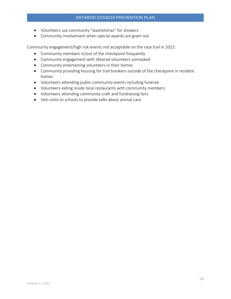- Volunteers use community "washeterias" for showers
- Community involvement when special awards are given out

Community engagement/high risk events not acceptable on the race trail in 2022:

- Community members in/out of the checkpoint frequently
- Community engagement with Iditarod volunteers unmasked
- Community entertaining volunteers in their homes
- Community providing housing for trail breakers outside of the checkpoint in resident homes
- Volunteers attending public community events including funerals
- Volunteers eating inside local restaurants with community members
- Volunteers attending community craft and fundraising fairs
- Vets visits to schools to provide talks about animal care